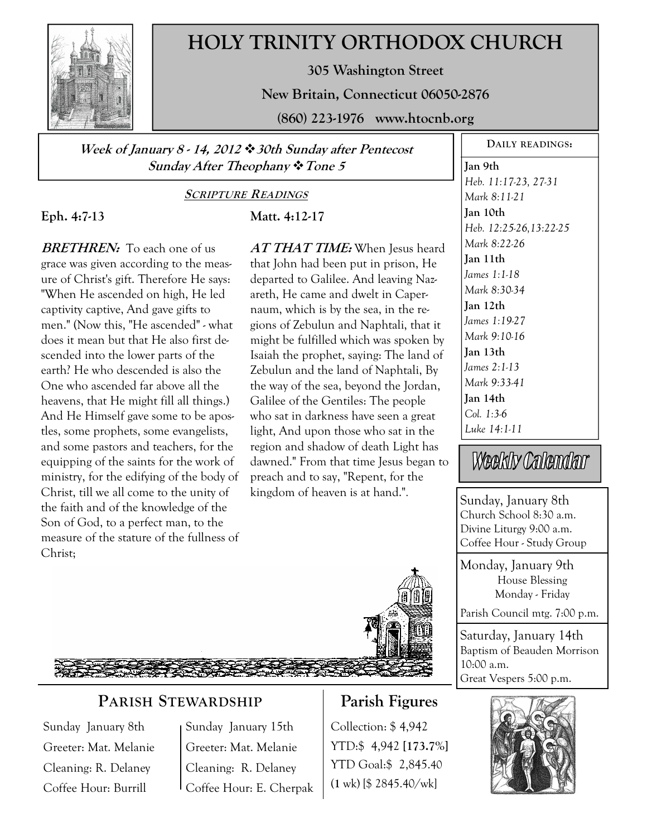

# **HOLY TRINITY ORTHODOX CHURCH**

**305 Washington Street** 

**New Britain, Connecticut 06050-2876** 

**(860) 223-1976 www.htocnb.org** 

**Week of January 8 - 14, 2012 30th Sunday after Pentecost Sunday After Theophany Tone 5** 

#### **SCRIPTURE READINGS**

**Matt. 4:12-17** 

## **Eph. 4:7-13**

**BRETHREN:** To each one of us grace was given according to the measure of Christ's gift. Therefore He says: "When He ascended on high, He led captivity captive, And gave gifts to men." (Now this, "He ascended" - what does it mean but that He also first descended into the lower parts of the earth? He who descended is also the One who ascended far above all the heavens, that He might fill all things.) And He Himself gave some to be apostles, some prophets, some evangelists, and some pastors and teachers, for the equipping of the saints for the work of ministry, for the edifying of the body of Christ, till we all come to the unity of the faith and of the knowledge of the Son of God, to a perfect man, to the measure of the stature of the fullness of Christ;

**AT THAT TIME:** When Jesus heard that John had been put in prison, He departed to Galilee. And leaving Nazareth, He came and dwelt in Capernaum, which is by the sea, in the regions of Zebulun and Naphtali, that it might be fulfilled which was spoken by Isaiah the prophet, saying: The land of Zebulun and the land of Naphtali, By the way of the sea, beyond the Jordan, Galilee of the Gentiles: The people who sat in darkness have seen a great light, And upon those who sat in the region and shadow of death Light has dawned." From that time Jesus began to preach and to say, "Repent, for the kingdom of heaven is at hand.".



## **PARISH STEWARDSHIP**

Sunday January 8th Greeter: Mat. Melanie Cleaning: R. Delaney Coffee Hour: Burrill

Sunday January 15th Greeter: Mat. Melanie Cleaning: R. Delaney Coffee Hour: E. Cherpak

## **Parish Figures**

Collection: \$ 4,942 YTD:\$ 4,942 **[173.7%]** YTD Goal:\$ 2,845.40 (**1** wk) [\$ 2845.40/wk]

**DAILY READINGS:** 

**Jan 9th**  *Heb. 11:17-23, 27-31 Mark 8:11-21*  **Jan 10th**  *Heb. 12:25-26,13:22-25 Mark 8:22-26*  **Jan 11th**  *James 1:1-18 Mark 8:30-34*  **Jan 12th**  *James 1:19-27 Mark 9:10-16*  **Jan 13th**  *James 2:1-13 Mark 9:33-41*  **Jan 14th**  *Col. 1:3-6 Luke 14:1-11* 

Weekly Calendar

Sunday, January 8th Church School 8:30 a.m. Divine Liturgy 9:00 a.m. Coffee Hour - Study Group

Monday, January 9th House Blessing Monday - Friday

Parish Council mtg. 7:00 p.m.

Saturday, January 14th Baptism of Beauden Morrison 10:00 a.m. Great Vespers 5:00 p.m.